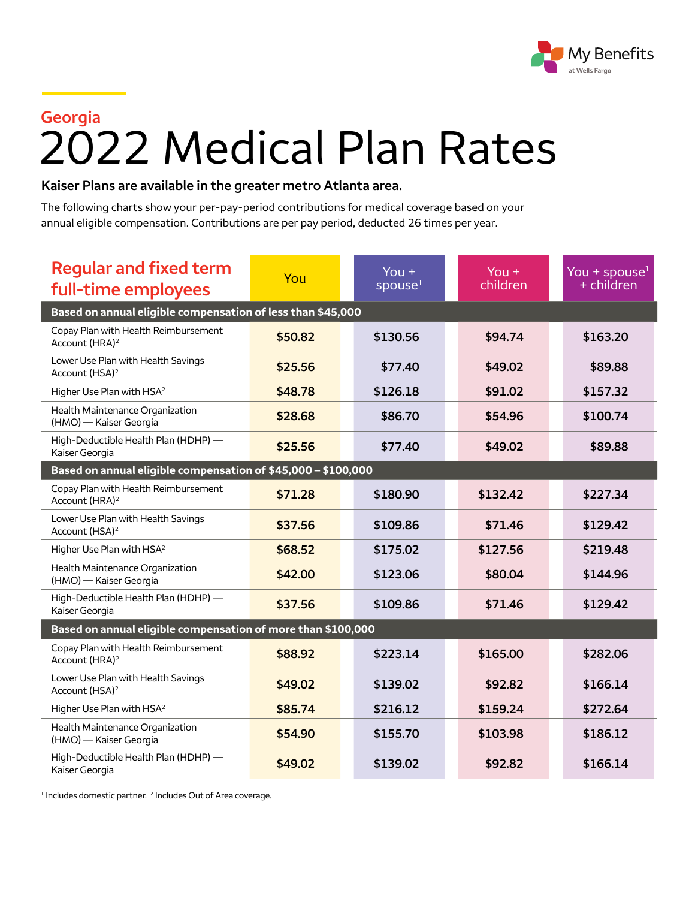

## **Georgia** 2022 Medical Plan Rates

## **Kaiser Plans are available in the greater metro Atlanta area.**

The following charts show your per-pay-period contributions for medical coverage based on your annual eligible compensation. Contributions are per pay period, deducted 26 times per year.

| <b>Regular and fixed term</b><br>full-time employees               | You     | You $+$<br>spouse <sup>1</sup> | You $+$<br>children | You + spouse $1$<br>+ children |  |  |  |
|--------------------------------------------------------------------|---------|--------------------------------|---------------------|--------------------------------|--|--|--|
| Based on annual eligible compensation of less than \$45,000        |         |                                |                     |                                |  |  |  |
| Copay Plan with Health Reimbursement<br>Account (HRA) <sup>2</sup> | \$50.82 | \$130.56                       | \$94.74             | \$163.20                       |  |  |  |
| Lower Use Plan with Health Savings<br>Account (HSA) <sup>2</sup>   | \$25.56 | \$77.40                        | \$49.02             | \$89.88                        |  |  |  |
| Higher Use Plan with HSA <sup>2</sup>                              | \$48.78 | \$126.18                       | \$91.02             | \$157.32                       |  |  |  |
| Health Maintenance Organization<br>(HMO) - Kaiser Georgia          | \$28.68 | \$86.70                        | \$54.96             | \$100.74                       |  |  |  |
| High-Deductible Health Plan (HDHP) -<br>Kaiser Georgia             | \$25.56 | \$77.40                        | \$49.02             | \$89.88                        |  |  |  |
| Based on annual eligible compensation of \$45,000 - \$100,000      |         |                                |                     |                                |  |  |  |
| Copay Plan with Health Reimbursement<br>Account (HRA) <sup>2</sup> | \$71.28 | \$180.90                       | \$132.42            | \$227.34                       |  |  |  |
| Lower Use Plan with Health Savings<br>Account (HSA) <sup>2</sup>   | \$37.56 | \$109.86                       | \$71.46             | \$129.42                       |  |  |  |
| Higher Use Plan with HSA <sup>2</sup>                              | \$68.52 | \$175.02                       | \$127.56            | \$219.48                       |  |  |  |
| Health Maintenance Organization<br>(HMO) - Kaiser Georgia          | \$42.00 | \$123.06                       | \$80.04             | \$144.96                       |  |  |  |
| High-Deductible Health Plan (HDHP) -<br>Kaiser Georgia             | \$37.56 | \$109.86                       | \$71.46             | \$129.42                       |  |  |  |
| Based on annual eligible compensation of more than \$100,000       |         |                                |                     |                                |  |  |  |
| Copay Plan with Health Reimbursement<br>Account (HRA) <sup>2</sup> | \$88.92 | \$223.14                       | \$165.00            | \$282.06                       |  |  |  |
| Lower Use Plan with Health Savings<br>Account (HSA) <sup>2</sup>   | \$49.02 | \$139.02                       | \$92.82             | \$166.14                       |  |  |  |
| Higher Use Plan with HSA <sup>2</sup>                              | \$85.74 | \$216.12                       | \$159.24            | \$272.64                       |  |  |  |
| Health Maintenance Organization<br>(HMO) - Kaiser Georgia          | \$54.90 | \$155.70                       | \$103.98            | \$186.12                       |  |  |  |
| High-Deductible Health Plan (HDHP) -<br>Kaiser Georgia             | \$49.02 | \$139.02                       | \$92.82             | \$166.14                       |  |  |  |

<sup>1</sup> Includes domestic partner.<sup>2</sup> Includes Out of Area coverage.